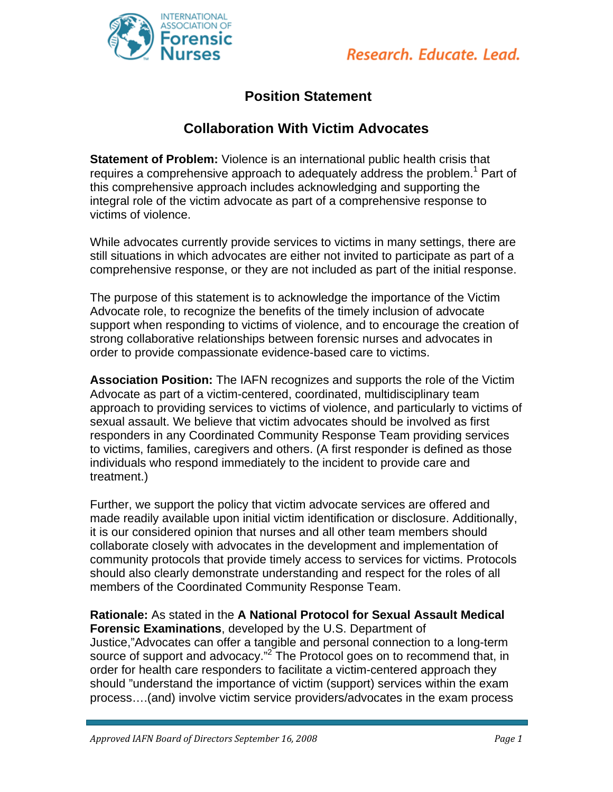

## **Position Statement**

## **Collaboration With Victim Advocates**

**Statement of Problem:** Violence is an international public health crisis that requires a comprehensive approach to adequately address the problem.<sup>1</sup> Part of this comprehensive approach includes acknowledging and supporting the integral role of the victim advocate as part of a comprehensive response to victims of violence.

While advocates currently provide services to victims in many settings, there are still situations in which advocates are either not invited to participate as part of a comprehensive response, or they are not included as part of the initial response.

The purpose of this statement is to acknowledge the importance of the Victim Advocate role, to recognize the benefits of the timely inclusion of advocate support when responding to victims of violence, and to encourage the creation of strong collaborative relationships between forensic nurses and advocates in order to provide compassionate evidence-based care to victims.

**Association Position:** The IAFN recognizes and supports the role of the Victim Advocate as part of a victim-centered, coordinated, multidisciplinary team approach to providing services to victims of violence, and particularly to victims of sexual assault. We believe that victim advocates should be involved as first responders in any Coordinated Community Response Team providing services to victims, families, caregivers and others. (A first responder is defined as those individuals who respond immediately to the incident to provide care and treatment.)

Further, we support the policy that victim advocate services are offered and made readily available upon initial victim identification or disclosure. Additionally, it is our considered opinion that nurses and all other team members should collaborate closely with advocates in the development and implementation of community protocols that provide timely access to services for victims. Protocols should also clearly demonstrate understanding and respect for the roles of all members of the Coordinated Community Response Team.

**Rationale:** As stated in the **A National Protocol for Sexual Assault Medical Forensic Examinations**, developed by the U.S. Department of Justice,"Advocates can offer a tangible and personal connection to a long-term source of support and advocacy."<sup>2</sup> The Protocol goes on to recommend that, in order for health care responders to facilitate a victim-centered approach they should "understand the importance of victim (support) services within the exam process….(and) involve victim service providers/advocates in the exam process